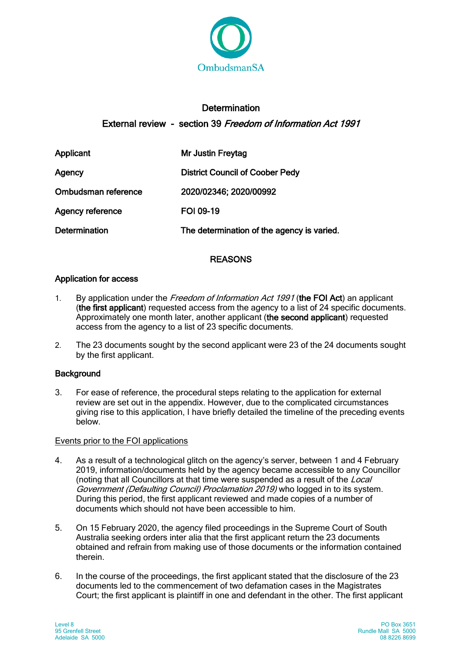

# **Determination** External review - section 39 Freedom of Information Act 1991

| Applicant               | <b>Mr Justin Freytag</b>                   |
|-------------------------|--------------------------------------------|
| Agency                  | <b>District Council of Coober Pedy</b>     |
| Ombudsman reference     | 2020/02346; 2020/00992                     |
| <b>Agency reference</b> | <b>FOI 09-19</b>                           |
| <b>Determination</b>    | The determination of the agency is varied. |

# REASONS

# Application for access

- 1. By application under the Freedom of Information Act 1991 (the FOI Act) an applicant (the first applicant) requested access from the agency to a list of 24 specific documents. Approximately one month later, another applicant (the second applicant) requested access from the agency to a list of 23 specific documents.
- 2. The 23 documents sought by the second applicant were 23 of the 24 documents sought by the first applicant.

# **Background**

3. For ease of reference, the procedural steps relating to the application for external review are set out in the appendix. However, due to the complicated circumstances giving rise to this application, I have briefly detailed the timeline of the preceding events **below** 

# Events prior to the FOI applications

- 4. As a result of a technological glitch on the agency's server, between 1 and 4 February 2019, information/documents held by the agency became accessible to any Councillor (noting that all Councillors at that time were suspended as a result of the Local Government (Defaulting Council) Proclamation 2019) who logged in to its system. During this period, the first applicant reviewed and made copies of a number of documents which should not have been accessible to him.
- 5. On 15 February 2020, the agency filed proceedings in the Supreme Court of South Australia seeking orders inter alia that the first applicant return the 23 documents obtained and refrain from making use of those documents or the information contained therein.
- 6. In the course of the proceedings, the first applicant stated that the disclosure of the 23 documents led to the commencement of two defamation cases in the Magistrates Court; the first applicant is plaintiff in one and defendant in the other. The first applicant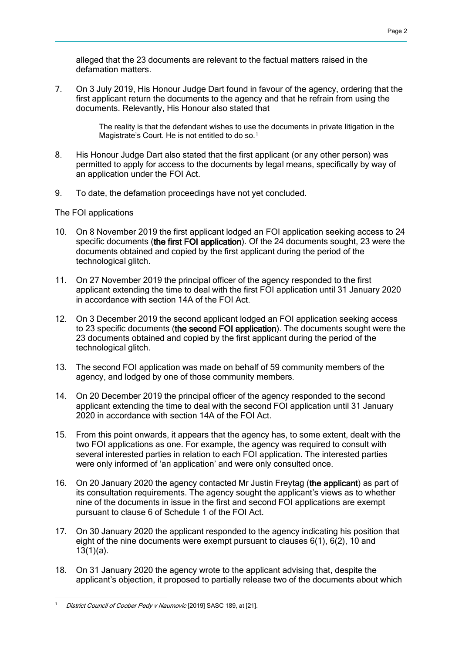alleged that the 23 documents are relevant to the factual matters raised in the defamation matters.

7. On 3 July 2019, His Honour Judge Dart found in favour of the agency, ordering that the first applicant return the documents to the agency and that he refrain from using the documents. Relevantly, His Honour also stated that

> The reality is that the defendant wishes to use the documents in private litigation in the Magistrate's Court. He is not entitled to do so.<sup>1</sup>

- 8. His Honour Judge Dart also stated that the first applicant (or any other person) was permitted to apply for access to the documents by legal means, specifically by way of an application under the FOI Act.
- 9. To date, the defamation proceedings have not yet concluded.

### The FOI applications

- 10. On 8 November 2019 the first applicant lodged an FOI application seeking access to 24 specific documents (the first FOI application). Of the 24 documents sought, 23 were the documents obtained and copied by the first applicant during the period of the technological glitch.
- 11. On 27 November 2019 the principal officer of the agency responded to the first applicant extending the time to deal with the first FOI application until 31 January 2020 in accordance with section 14A of the FOI Act.
- 12. On 3 December 2019 the second applicant lodged an FOI application seeking access to 23 specific documents (the second FOI application). The documents sought were the 23 documents obtained and copied by the first applicant during the period of the technological glitch.
- 13. The second FOI application was made on behalf of 59 community members of the agency, and lodged by one of those community members.
- 14. On 20 December 2019 the principal officer of the agency responded to the second applicant extending the time to deal with the second FOI application until 31 January 2020 in accordance with section 14A of the FOI Act.
- 15. From this point onwards, it appears that the agency has, to some extent, dealt with the two FOI applications as one. For example, the agency was required to consult with several interested parties in relation to each FOI application. The interested parties were only informed of 'an application' and were only consulted once.
- 16. On 20 January 2020 the agency contacted Mr Justin Freytag (the applicant) as part of its consultation requirements. The agency sought the applicant's views as to whether nine of the documents in issue in the first and second FOI applications are exempt pursuant to clause 6 of Schedule 1 of the FOI Act.
- 17. On 30 January 2020 the applicant responded to the agency indicating his position that eight of the nine documents were exempt pursuant to clauses 6(1), 6(2), 10 and 13(1)(a).
- 18. On 31 January 2020 the agency wrote to the applicant advising that, despite the applicant's objection, it proposed to partially release two of the documents about which

 District Council of Coober Pedy v Naumovic [2019] SASC 189, at [21].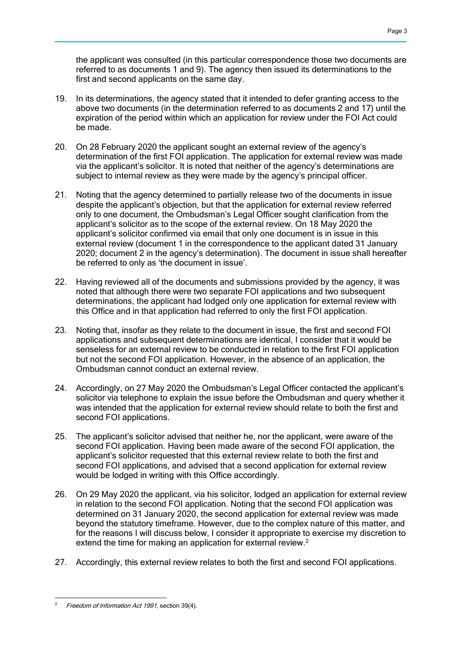the applicant was consulted (in this particular correspondence those two documents are referred to as documents 1 and 9). The agency then issued its determinations to the first and second applicants on the same day.

- 19. In its determinations, the agency stated that it intended to defer granting access to the above two documents (in the determination referred to as documents 2 and 17) until the expiration of the period within which an application for review under the FOI Act could be made.
- 20. On 28 February 2020 the applicant sought an external review of the agency's determination of the first FOI application. The application for external review was made via the applicant's solicitor. It is noted that neither of the agency's determinations are subject to internal review as they were made by the agency's principal officer.
- 21. Noting that the agency determined to partially release two of the documents in issue despite the applicant's objection, but that the application for external review referred only to one document, the Ombudsman's Legal Officer sought clarification from the applicant's solicitor as to the scope of the external review. On 18 May 2020 the applicant's solicitor confirmed via email that only one document is in issue in this external review (document 1 in the correspondence to the applicant dated 31 January 2020; document 2 in the agency's determination). The document in issue shall hereafter be referred to only as 'the document in issue'.
- 22. Having reviewed all of the documents and submissions provided by the agency, it was noted that although there were two separate FOI applications and two subsequent determinations, the applicant had lodged only one application for external review with this Office and in that application had referred to only the first FOI application.
- 23. Noting that, insofar as they relate to the document in issue, the first and second FOI applications and subsequent determinations are identical, I consider that it would be senseless for an external review to be conducted in relation to the first FOI application but not the second FOI application. However, in the absence of an application, the Ombudsman cannot conduct an external review.
- 24. Accordingly, on 27 May 2020 the Ombudsman's Legal Officer contacted the applicant's solicitor via telephone to explain the issue before the Ombudsman and query whether it was intended that the application for external review should relate to both the first and second FOI applications.
- 25. The applicant's solicitor advised that neither he, nor the applicant, were aware of the second FOI application. Having been made aware of the second FOI application, the applicant's solicitor requested that this external review relate to both the first and second FOI applications, and advised that a second application for external review would be lodged in writing with this Office accordingly.
- 26. On 29 May 2020 the applicant, via his solicitor, lodged an application for external review in relation to the second FOI application. Noting that the second FOI application was determined on 31 January 2020, the second application for external review was made beyond the statutory timeframe. However, due to the complex nature of this matter, and for the reasons I will discuss below, I consider it appropriate to exercise my discretion to extend the time for making an application for external review.<sup>2</sup>
- 27. Accordingly, this external review relates to both the first and second FOI applications.

 Freedom of Information Act 1991, section 39(4).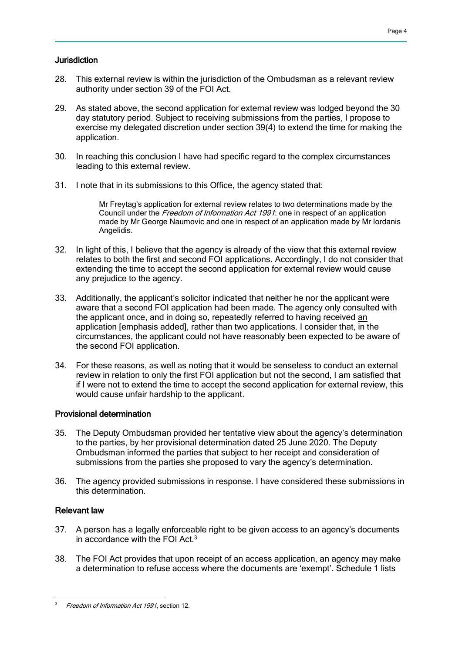### **Jurisdiction**

- 28. This external review is within the jurisdiction of the Ombudsman as a relevant review authority under section 39 of the FOI Act.
- 29. As stated above, the second application for external review was lodged beyond the 30 day statutory period. Subject to receiving submissions from the parties, I propose to exercise my delegated discretion under section 39(4) to extend the time for making the application.
- 30. In reaching this conclusion I have had specific regard to the complex circumstances leading to this external review.
- 31. I note that in its submissions to this Office, the agency stated that:

Mr Freytag's application for external review relates to two determinations made by the Council under the Freedom of Information Act 1991: one in respect of an application made by Mr George Naumovic and one in respect of an application made by Mr Iordanis Angelidis.

- 32. In light of this, I believe that the agency is already of the view that this external review relates to both the first and second FOI applications. Accordingly, I do not consider that extending the time to accept the second application for external review would cause any prejudice to the agency.
- 33. Additionally, the applicant's solicitor indicated that neither he nor the applicant were aware that a second FOI application had been made. The agency only consulted with the applicant once, and in doing so, repeatedly referred to having received an application [emphasis added], rather than two applications. I consider that, in the circumstances, the applicant could not have reasonably been expected to be aware of the second FOI application.
- 34. For these reasons, as well as noting that it would be senseless to conduct an external review in relation to only the first FOI application but not the second, I am satisfied that if I were not to extend the time to accept the second application for external review, this would cause unfair hardship to the applicant.

### Provisional determination

- 35. The Deputy Ombudsman provided her tentative view about the agency's determination to the parties, by her provisional determination dated 25 June 2020. The Deputy Ombudsman informed the parties that subject to her receipt and consideration of submissions from the parties she proposed to vary the agency's determination.
- 36. The agency provided submissions in response. I have considered these submissions in this determination.

### Relevant law

- 37. A person has a legally enforceable right to be given access to an agency's documents in accordance with the FOI Act.<sup>3</sup>
- 38. The FOI Act provides that upon receipt of an access application, an agency may make a determination to refuse access where the documents are 'exempt'. Schedule 1 lists

 Freedom of Information Act 1991, section 12.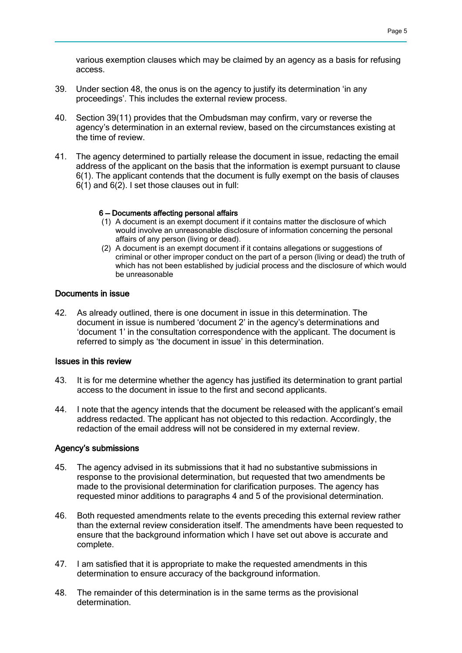various exemption clauses which may be claimed by an agency as a basis for refusing access.

- 39. Under section 48, the onus is on the agency to justify its determination 'in any proceedings'. This includes the external review process.
- 40. Section 39(11) provides that the Ombudsman may confirm, vary or reverse the agency's determination in an external review, based on the circumstances existing at the time of review.
- 41. The agency determined to partially release the document in issue, redacting the email address of the applicant on the basis that the information is exempt pursuant to clause 6(1). The applicant contends that the document is fully exempt on the basis of clauses 6(1) and 6(2). I set those clauses out in full:

#### 6 — Documents affecting personal affairs

- (1) A document is an exempt document if it contains matter the disclosure of which would involve an unreasonable disclosure of information concerning the personal affairs of any person (living or dead).
- (2) A document is an exempt document if it contains allegations or suggestions of criminal or other improper conduct on the part of a person (living or dead) the truth of which has not been established by judicial process and the disclosure of which would be unreasonable

### Documents in issue

42. As already outlined, there is one document in issue in this determination. The document in issue is numbered 'document 2' in the agency's determinations and 'document 1' in the consultation correspondence with the applicant. The document is referred to simply as 'the document in issue' in this determination.

#### Issues in this review

- 43. It is for me determine whether the agency has justified its determination to grant partial access to the document in issue to the first and second applicants.
- 44. I note that the agency intends that the document be released with the applicant's email address redacted. The applicant has not objected to this redaction. Accordingly, the redaction of the email address will not be considered in my external review.

#### Agency's submissions

- 45. The agency advised in its submissions that it had no substantive submissions in response to the provisional determination, but requested that two amendments be made to the provisional determination for clarification purposes. The agency has requested minor additions to paragraphs 4 and 5 of the provisional determination.
- 46. Both requested amendments relate to the events preceding this external review rather than the external review consideration itself. The amendments have been requested to ensure that the background information which I have set out above is accurate and complete.
- 47. I am satisfied that it is appropriate to make the requested amendments in this determination to ensure accuracy of the background information.
- 48. The remainder of this determination is in the same terms as the provisional determination.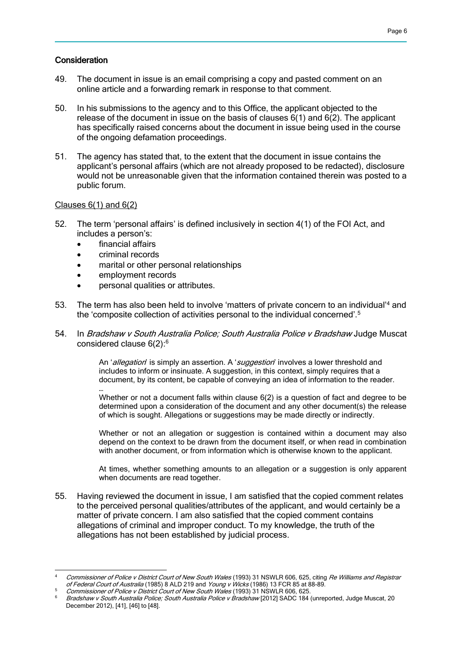#### **Consideration**

- 49. The document in issue is an email comprising a copy and pasted comment on an online article and a forwarding remark in response to that comment.
- 50. In his submissions to the agency and to this Office, the applicant objected to the release of the document in issue on the basis of clauses 6(1) and 6(2). The applicant has specifically raised concerns about the document in issue being used in the course of the ongoing defamation proceedings.
- 51. The agency has stated that, to the extent that the document in issue contains the applicant's personal affairs (which are not already proposed to be redacted), disclosure would not be unreasonable given that the information contained therein was posted to a public forum.

#### Clauses  $6(1)$  and  $6(2)$

…

 $\overline{a}$ 

- 52. The term 'personal affairs' is defined inclusively in section 4(1) of the FOI Act, and includes a person's:
	- financial affairs
	- criminal records
	- marital or other personal relationships
	- employment records
	- personal qualities or attributes.
- 53. The term has also been held to involve 'matters of private concern to an individual'<sup>4</sup> and the 'composite collection of activities personal to the individual concerned'.<sup>5</sup>
- 54. In Bradshaw v South Australia Police; South Australia Police v Bradshaw Judge Muscat considered clause 6(2):<sup>6</sup>

An 'allegation' is simply an assertion. A 'suggestion' involves a lower threshold and includes to inform or insinuate. A suggestion, in this context, simply requires that a document, by its content, be capable of conveying an idea of information to the reader.

Whether or not a document falls within clause 6(2) is a question of fact and degree to be determined upon a consideration of the document and any other document(s) the release of which is sought. Allegations or suggestions may be made directly or indirectly.

Whether or not an allegation or suggestion is contained within a document may also depend on the context to be drawn from the document itself, or when read in combination with another document, or from information which is otherwise known to the applicant.

At times, whether something amounts to an allegation or a suggestion is only apparent when documents are read together.

55. Having reviewed the document in issue, I am satisfied that the copied comment relates to the perceived personal qualities/attributes of the applicant, and would certainly be a matter of private concern. I am also satisfied that the copied comment contains allegations of criminal and improper conduct. To my knowledge, the truth of the allegations has not been established by judicial process.

Commissioner of Police v District Court of New South Wales (1993) 31 NSWLR 606, 625, citing Re Williams and Registrar of Federal Court of Australia (1985) 8 ALD 219 and Young v Wicks (1986) 13 FCR 85 at 88-89.

Commissioner of Police v District Court of New South Wales (1993) 31 NSWLR 606, 625.

<sup>6</sup> Bradshaw v South Australia Police; South Australia Police v Bradshaw [2012] SADC 184 (unreported, Judge Muscat, 20 December 2012), [41], [46] to [48].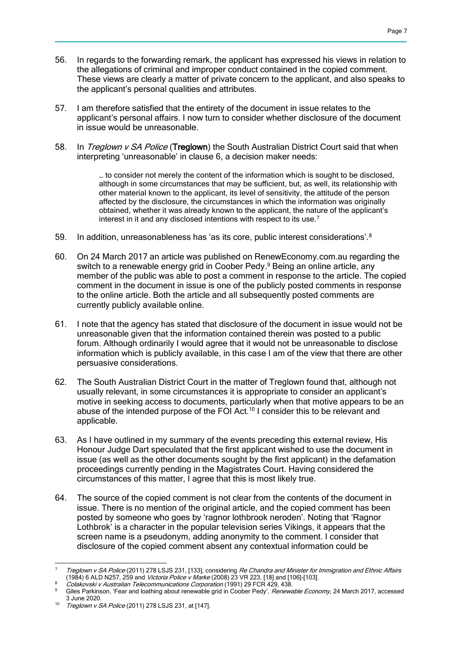- 56. In regards to the forwarding remark, the applicant has expressed his views in relation to the allegations of criminal and improper conduct contained in the copied comment. These views are clearly a matter of private concern to the applicant, and also speaks to the applicant's personal qualities and attributes.
- 57. I am therefore satisfied that the entirety of the document in issue relates to the applicant's personal affairs. I now turn to consider whether disclosure of the document in issue would be unreasonable.
- 58. In Treglown v SA Police (Treglown) the South Australian District Court said that when interpreting 'unreasonable' in clause 6, a decision maker needs:

… to consider not merely the content of the information which is sought to be disclosed, although in some circumstances that may be sufficient, but, as well, its relationship with other material known to the applicant, its level of sensitivity, the attitude of the person affected by the disclosure, the circumstances in which the information was originally obtained, whether it was already known to the applicant, the nature of the applicant's interest in it and any disclosed intentions with respect to its use.<sup>7</sup>

- 59. In addition, unreasonableness has 'as its core, public interest considerations'.<sup>8</sup>
- 60. On 24 March 2017 an article was published on RenewEconomy.com.au regarding the switch to a renewable energy grid in Coober Pedy.<sup>9</sup> Being an online article, any member of the public was able to post a comment in response to the article. The copied comment in the document in issue is one of the publicly posted comments in response to the online article. Both the article and all subsequently posted comments are currently publicly available online.
- 61. I note that the agency has stated that disclosure of the document in issue would not be unreasonable given that the information contained therein was posted to a public forum. Although ordinarily I would agree that it would not be unreasonable to disclose information which is publicly available, in this case I am of the view that there are other persuasive considerations.
- 62. The South Australian District Court in the matter of Treglown found that, although not usually relevant, in some circumstances it is appropriate to consider an applicant's motive in seeking access to documents, particularly when that motive appears to be an abuse of the intended purpose of the FOI Act.<sup>10</sup> I consider this to be relevant and applicable.
- 63. As I have outlined in my summary of the events preceding this external review, His Honour Judge Dart speculated that the first applicant wished to use the document in issue (as well as the other documents sought by the first applicant) in the defamation proceedings currently pending in the Magistrates Court. Having considered the circumstances of this matter, I agree that this is most likely true.
- 64. The source of the copied comment is not clear from the contents of the document in issue. There is no mention of the original article, and the copied comment has been posted by someone who goes by 'ragnor lothbrook neroden'. Noting that 'Ragnor Lothbrok' is a character in the popular television series Vikings, it appears that the screen name is a pseudonym, adding anonymity to the comment. I consider that disclosure of the copied comment absent any contextual information could be

 $\overline{a}$  $^7$  Treglown v SA Police (2011) 278 LSJS 231, [133], considering Re Chandra and Minister for Immigration and Ethnic Affairs (1984) 6 ALD N257, 259 and *Victoria Police v Marke* (2008) 23 VR 223, [18] and [106]-[103].

Colakovski v Australian Telecommunications Corporation (1991) 29 FCR 429, 438.

Giles Parkinson, 'Fear and loathing about renewable grid in Coober Pedy', Renewable Economy, 24 March 2017, accessed 3 June 2020.

<sup>10</sup> Treglown v SA Police (2011) 278 LSJS 231, at [147].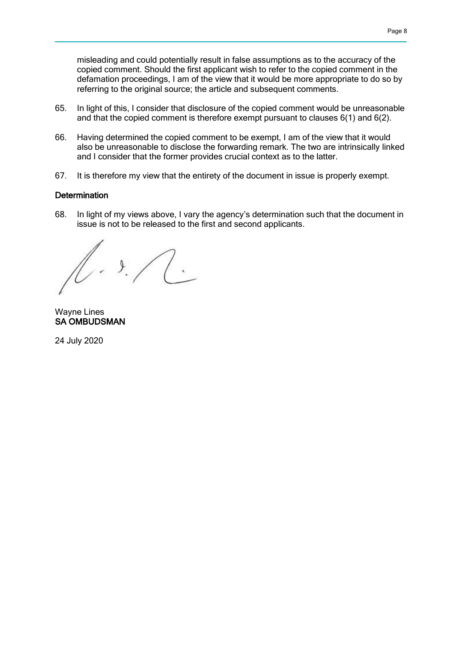misleading and could potentially result in false assumptions as to the accuracy of the copied comment. Should the first applicant wish to refer to the copied comment in the defamation proceedings, I am of the view that it would be more appropriate to do so by referring to the original source; the article and subsequent comments.

- 65. In light of this, I consider that disclosure of the copied comment would be unreasonable and that the copied comment is therefore exempt pursuant to clauses 6(1) and 6(2).
- 66. Having determined the copied comment to be exempt, I am of the view that it would also be unreasonable to disclose the forwarding remark. The two are intrinsically linked and I consider that the former provides crucial context as to the latter.
- 67. It is therefore my view that the entirety of the document in issue is properly exempt.

#### **Determination**

68. In light of my views above, I vary the agency's determination such that the document in issue is not to be released to the first and second applicants.

 $. 9. / (0.1)$ 

Wayne Lines SA OMBUDSMAN

24 July 2020